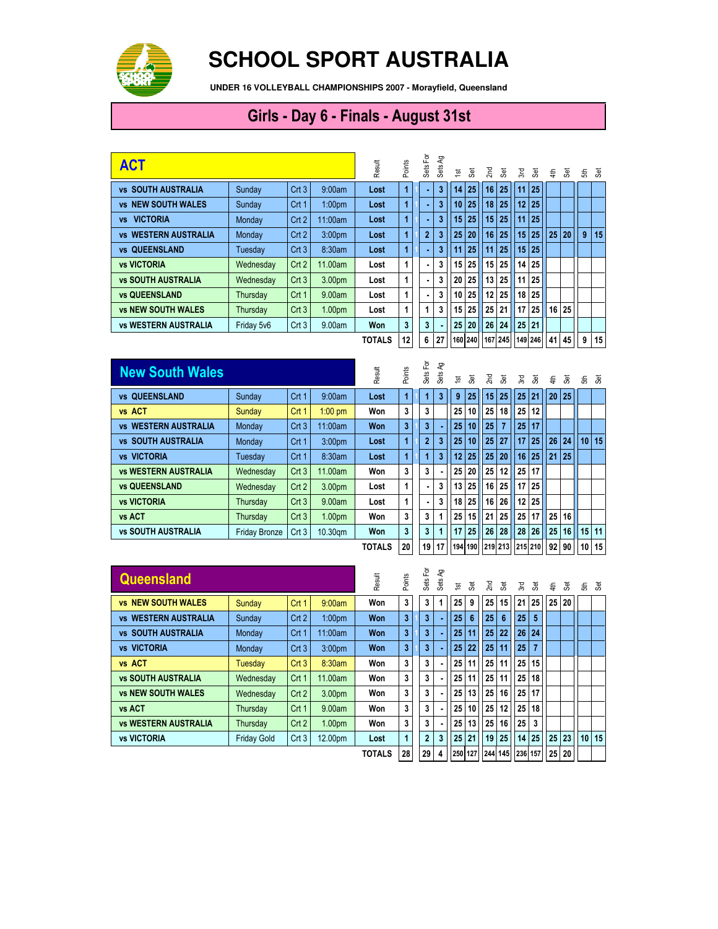

## **SCHOOL SPORT AUSTRALIA**

**UNDER 16 VOLLEYBALL CHAMPIONSHIPS 2007 - Morayfield, Queensland**

## Girls - Day 6 - Finals - August 31st

| <b>ACT</b>                      | Result     | Points | Sets For           | ΡĄ<br>Sets    | 흐                       | <b>Set</b>     | 2 <sub>nd</sub> | 3  | 3rd             | हैं |                 | 를 잃             |                 | ಕೆ ತ |    |   |    |
|---------------------------------|------------|--------|--------------------|---------------|-------------------------|----------------|-----------------|----|-----------------|-----|-----------------|-----------------|-----------------|------|----|---|----|
| <b>vs SOUTH AUSTRALIA</b>       | Sunday     | Crt3   | 9:00am             | Lost          | $\overline{1}$          |                | 3               | 14 | 25 <sub>1</sub> | 16  | 25              | 11              | 25 <sup>1</sup> |      |    |   |    |
| <b>NEW SOUTH WALES</b><br>VS.   | Sunday     | Crt 1  | 1:00 <sub>pm</sub> | Lost          | 1                       |                | 3               | 10 | 25              | 18  | 25              | 12 <sup>1</sup> | 25 <sub>1</sub> |      |    |   |    |
| <b>VICTORIA</b><br><b>VS</b>    | Monday     | Crt2   | 11:00am            | Lost          | 1                       |                | 3               | 15 | 25              | 15  | 25              | 11 <sup>1</sup> | 25 <sub>1</sub> |      |    |   |    |
| <b>WESTERN AUSTRALIA</b><br>VS. | Monday     | Crt2   | 3:00 <sub>pm</sub> | Lost          | $\blacktriangleleft$    | $\overline{2}$ | 3               | 25 | 20              | 16  | 25              | 15 <sup>1</sup> | 25 <sup>1</sup> | 25   | 20 | 9 | 15 |
| <b>vs QUEENSLAND</b>            | Tuesdav    | Crt3   | 8:30am             | Lost          | $\blacktriangleleft$    |                | 3               | 11 | 25              | 11  | 25              | 15 <sup>1</sup> | 25 <sub>1</sub> |      |    |   |    |
| <b>vs VICTORIA</b>              | Wednesdav  | Crt2   | 11.00am            | Lost          | 1                       |                | 3               | 15 | 25              | 15  | 25              | 14              | 25 <sub>1</sub> |      |    |   |    |
| <b>vs SOUTH AUSTRALIA</b>       | Wednesday  | Crt3   | 3.00pm             | Lost          | 1                       |                |                 | 20 | 25              | 13  | 25              | 11 <sup>1</sup> | 25 <sub>1</sub> |      |    |   |    |
| <b>vs QUEENSLAND</b>            | Thursday   | Crt 1  | 9.00am             | Lost          | 1                       |                | 3               | 10 | 25              | 12  | 25              |                 | $18$   25       |      |    |   |    |
| <b>vs NEW SOUTH WALES</b>       | Thursday   | Crt3   | 1.00 <sub>pm</sub> | Lost          | 1                       |                | 3               | 15 | 25              | 25  | 21              | 17 <sup>1</sup> | 25 <sup>1</sup> | 16   | 25 |   |    |
| <b>vs WESTERN AUSTRALIA</b>     | Friday 5v6 | Crt3   | 9.00am             | Won           | $\overline{\mathbf{3}}$ | 3              |                 | 25 | 20              | 26  | 24              | 25 <sub>1</sub> | 21              |      |    |   |    |
|                                 |            |        |                    | <b>TOTALS</b> | 12                      | 6              | 27              |    |                 |     | 160 240 167 245 |                 | 149 246         | 41   | 45 | 9 | 15 |

| <b>New South Wales</b>              |                      |                  |                    | Result        | Points | Sets For       | ξP<br>Sets | $\frac{1}{2}$   | æ, | 2nd | æ              | 3rd                                     | हैं             | ≢  | க்              | 동               | ුඹි     |
|-------------------------------------|----------------------|------------------|--------------------|---------------|--------|----------------|------------|-----------------|----|-----|----------------|-----------------------------------------|-----------------|----|-----------------|-----------------|---------|
| <b>QUEENSLAND</b><br><b>VS</b>      | Sunday               | Crt 1            | 9:00am             | Lost          | 1      |                | 3          | 9               | 25 | 15  | 25             | 25 <sup>2</sup>                         | 21              | 20 | 25              |                 |         |
| vs ACT                              | Sunday               | Crt <sub>1</sub> | $1:00$ pm          | Won           | 3      | 3              |            | 25              | 10 | 25  | 18             | 25                                      | 12 <sup>1</sup> |    |                 |                 |         |
| <b>vs WESTERN AUSTRALIA</b>         | Monday               | Crt <sub>3</sub> | 11:00am            | <b>Won</b>    | 3      | 3              |            | 25              | 10 | 25  | $\overline{7}$ | 25                                      | 17              |    |                 |                 |         |
| <b>SOUTH AUSTRALIA</b><br><b>VS</b> | Monday               | Crt <sub>1</sub> | 3:00 <sub>pm</sub> | Lost          | 1      | $\overline{2}$ |            | 25              | 10 | 25  | 27             | 17 <sup>1</sup>                         | 25 <sub>1</sub> | 26 | 24              | 10 <sup>1</sup> | 15      |
| <b>vs VICTORIA</b>                  | Tuesday              | Crt <sub>1</sub> | 8:30am             | Lost          | 1      |                | 3          | 12 <sup>°</sup> | 25 | 25  | 20             | 16 <sup>1</sup>                         | 25 <sub>1</sub> | 21 | 25 <sub>1</sub> |                 |         |
| <b>vs WESTERN AUSTRALIA</b>         | Wednesday            | Crt3             | 11.00am            | Won           | 3      | 3              |            | 25              | 20 | 25  | 12             | 25 <sup>1</sup>                         | 17 <sup>1</sup> |    |                 |                 |         |
| <b>vs QUEENSLAND</b>                | Wednesday            | Crt2             | 3.00pm             | Lost          | 1      | ٠.             |            | 13              | 25 | 16  | 25             | 17 <sup>1</sup>                         | 25 <sub>1</sub> |    |                 |                 |         |
| <b>vs VICTORIA</b>                  | Thursday             | Crt3             | 9.00am             | Lost          | 1      | ٠.             | 3          | 18 <sup>1</sup> | 25 | 16  | 26             | 12 <sup>1</sup>                         | 25 <sub>1</sub> |    |                 |                 |         |
| vs ACT                              | Thursday             | Crt3             | 1.00 <sub>pm</sub> | Won           | 3      | 3              |            | 25              | 15 | 21  | 25             | 25 <sub>1</sub>                         | 17              | 25 | 16 <sup>1</sup> |                 |         |
| <b>vs SOUTH AUSTRALIA</b>           | <b>Friday Bronze</b> | Crt3             | 10.30gm            | <b>Won</b>    | 3      | 3              |            | 17              | 25 | 26  | 28             | 28                                      | 26 <sup>1</sup> | 25 | 16 <sup>1</sup> | 15              | 11      |
|                                     |                      |                  |                    | <b>TOTALS</b> | 20     | 19             | 17         |                 |    |     |                | 194   190   1219   213   1215   210   1 |                 |    | 92 90           |                 | $10$ 15 |

| <b>Queensland</b>           |                    |                  |                    | Result        | Points | Sets For       | ΡĄ<br>Sets | $\overline{\mathbf{S}}$ | க் | 2nd             | 3               | ΣŚ,     | æ  | € | க்    | ಕೆ ತ            |    |
|-----------------------------|--------------------|------------------|--------------------|---------------|--------|----------------|------------|-------------------------|----|-----------------|-----------------|---------|----|---|-------|-----------------|----|
| <b>vs NEW SOUTH WALES</b>   | Sunday             | Crt <sub>1</sub> | 9:00am             | Won           | 3      | 3              |            | 25                      | 9  | 25              | 15              | 21      | 25 |   | 25 20 |                 |    |
| <b>WESTERN AUSTRALIA</b>    | Sunday             | Crt2             | 1:00 <sub>pm</sub> | Won           | 3      | 3              |            | 25                      | 6  | 25              | $6\phantom{1}6$ | 25      | 5  |   |       |                 |    |
| <b>vs SOUTH AUSTRALIA</b>   | Monday             | Crt 1            | 11:00am            | Won           | 3      | 3              |            | 25                      | 11 | 25              | 22              | 26      | 24 |   |       |                 |    |
| <b>vs VICTORIA</b>          | Monday             | Crt3             | 3:00 <sub>pm</sub> | Won           | 3      | 3              |            | 25                      | 22 | 25              | 11              | 25      |    |   |       |                 |    |
| vs ACT                      | Tuesday            | Crt3             | 8:30am             | Won           | 3      | 3              |            | 25                      | 11 | 25              | 11              | 25      | 15 |   |       |                 |    |
| <b>vs SOUTH AUSTRALIA</b>   | Wednesday          | Crt 1            | 11.00am            | Won           | 3      | 3              |            | 25                      | 11 | 25              | 11              | 25      | 18 |   |       |                 |    |
| <b>vs NEW SOUTH WALES</b>   | Wednesday          | Crt2             | 3.00pm             | Won           | 3      | 3              |            | 25                      | 13 | 25              | 16              | 25      | 17 |   |       |                 |    |
| vs ACT                      | Thursday           | Crt 1            | 9.00am             | Won           | 3      | 3              |            | 25                      | 10 | 25              | 12              | 25      | 18 |   |       |                 |    |
| <b>vs WESTERN AUSTRALIA</b> | Thursday           | Crt2             | 1.00 <sub>pm</sub> | Won           | 3      | 3              |            | 25                      | 13 | 25              | 16              | 25      | 3  |   |       |                 |    |
| <b>vs VICTORIA</b>          | <b>Friday Gold</b> | Crt3             | 12.00pm            | Lost          | 1      | $\overline{2}$ | 3          | 25                      | 21 | 19              | 25              | 14      | 25 |   | 25 23 | 10 <sup>1</sup> | 15 |
|                             |                    |                  |                    | <b>TOTALS</b> | 28     | 29             |            |                         |    | 250 127 244 145 |                 | 236 157 |    |   | 25 20 |                 |    |